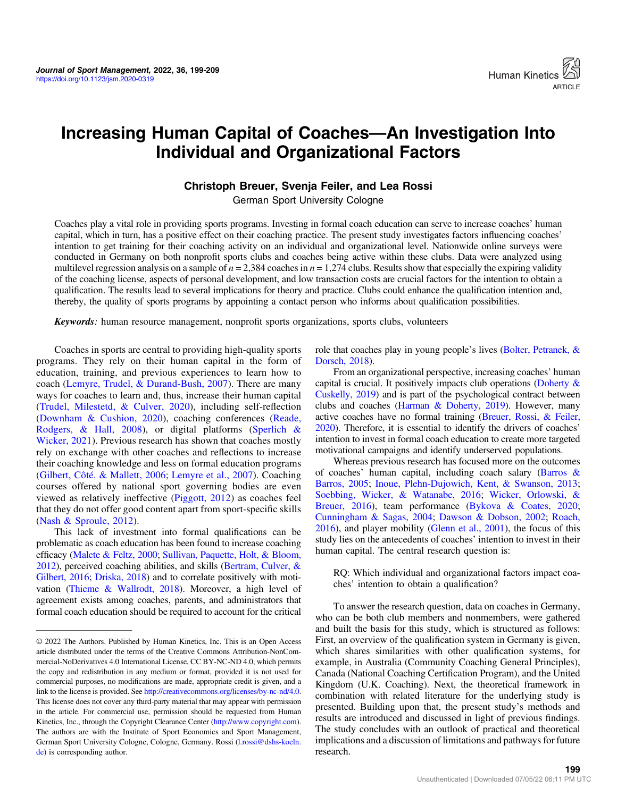

# Increasing Human Capital of Coaches—An Investigation Into Individual and Organizational Factors

## Christoph Breuer, Svenja Feiler, and Lea Rossi

German Sport University Cologne

Coaches play a vital role in providing sports programs. Investing in formal coach education can serve to increase coaches' human capital, which in turn, has a positive effect on their coaching practice. The present study investigates factors influencing coaches' intention to get training for their coaching activity on an individual and organizational level. Nationwide online surveys were conducted in Germany on both nonprofit sports clubs and coaches being active within these clubs. Data were analyzed using multilevel regression analysis on a sample of  $n = 2,384$  coaches in  $n = 1,274$  clubs. Results show that especially the expiring validity of the coaching license, aspects of personal development, and low transaction costs are crucial factors for the intention to obtain a qualification. The results lead to several implications for theory and practice. Clubs could enhance the qualification intention and, thereby, the quality of sports programs by appointing a contact person who informs about qualification possibilities.

Keywords: human resource management, nonprofit sports organizations, sports clubs, volunteers

Coaches in sports are central to providing high-quality sports programs. They rely on their human capital in the form of education, training, and previous experiences to learn how to coach ([Lemyre, Trudel, & Durand-Bush, 2007](#page-9-0)). There are many ways for coaches to learn and, thus, increase their human capital [\(Trudel, Milestetd, & Culver, 2020](#page-10-0)), including self-reflection [\(Downham & Cushion, 2020\)](#page-9-0), coaching conferences [\(Reade,](#page-10-0) [Rodgers, & Hall, 2008](#page-10-0)), or digital platforms ([Sperlich &](#page-10-0) [Wicker, 2021](#page-10-0)). Previous research has shown that coaches mostly rely on exchange with other coaches and reflections to increase their coaching knowledge and less on formal education programs [\(Gilbert, Côté. & Mallett, 2006;](#page-9-0) [Lemyre et al., 2007](#page-9-0)). Coaching courses offered by national sport governing bodies are even viewed as relatively ineffective [\(Piggott, 2012](#page-10-0)) as coaches feel that they do not offer good content apart from sport-specific skills [\(Nash & Sproule, 2012](#page-10-0)).

This lack of investment into formal qualifications can be problematic as coach education has been found to increase coaching efficacy [\(Malete & Feltz, 2000](#page-10-0); [Sullivan, Paquette, Holt, & Bloom,](#page-10-0) [2012\)](#page-10-0), perceived coaching abilities, and skills [\(Bertram, Culver, &](#page-9-0) [Gilbert, 2016](#page-9-0); [Driska, 2018](#page-9-0)) and to correlate positively with motivation ([Thieme & Wallrodt, 2018](#page-10-0)). Moreover, a high level of agreement exists among coaches, parents, and administrators that formal coach education should be required to account for the critical role that coaches play in young people's lives ([Bolter, Petranek, &](#page-9-0) [Dorsch, 2018](#page-9-0)).

From an organizational perspective, increasing coaches' human capital is crucial. It positively impacts club operations [\(Doherty &](#page-9-0) [Cuskelly, 2019\)](#page-9-0) and is part of the psychological contract between clubs and coaches [\(Harman & Doherty, 2019](#page-9-0)). However, many active coaches have no formal training [\(Breuer, Rossi, & Feiler,](#page-9-0) [2020\)](#page-9-0). Therefore, it is essential to identify the drivers of coaches' intention to invest in formal coach education to create more targeted motivational campaigns and identify underserved populations.

Whereas previous research has focused more on the outcomes of coaches' human capital, including coach salary ([Barros &](#page-9-0) [Barros, 2005;](#page-9-0) [Inoue, Plehn-Dujowich, Kent, & Swanson, 2013](#page-9-0); [Soebbing, Wicker, & Watanabe, 2016](#page-10-0); [Wicker, Orlowski, &](#page-10-0) [Breuer, 2016\)](#page-10-0), team performance ([Bykova & Coates, 2020](#page-9-0); [Cunningham & Sagas, 2004](#page-9-0); [Dawson & Dobson, 2002](#page-9-0); [Roach,](#page-10-0) [2016](#page-10-0)), and player mobility ([Glenn et al., 2001](#page-9-0)), the focus of this study lies on the antecedents of coaches' intention to invest in their human capital. The central research question is:

RQ: Which individual and organizational factors impact coaches' intention to obtain a qualification?

To answer the research question, data on coaches in Germany, who can be both club members and nonmembers, were gathered and built the basis for this study, which is structured as follows: First, an overview of the qualification system in Germany is given, which shares similarities with other qualification systems, for example, in Australia (Community Coaching General Principles), Canada (National Coaching Certification Program), and the United Kingdom (U.K. Coaching). Next, the theoretical framework in combination with related literature for the underlying study is presented. Building upon that, the present study's methods and results are introduced and discussed in light of previous findings. The study concludes with an outlook of practical and theoretical implications and a discussion of limitations and pathways for future research.

<sup>© 2022</sup> The Authors. Published by Human Kinetics, Inc. This is an Open Access article distributed under the terms of the Creative Commons Attribution-NonCommercial-NoDerivatives 4.0 International License, CC BY-NC-ND 4.0, which permits the copy and redistribution in any medium or format, provided it is not used for commercial purposes, no modifications are made, appropriate credit is given, and a link to the license is provided. See <http://creativecommons.org/licenses/by-nc-nd/4.0>. This license does not cover any third-party material that may appear with permission in the article. For commercial use, permission should be requested from Human Kinetics, Inc., through the Copyright Clearance Center [\(http://www.copyright.com\)](http://www.copyright.com). The authors are with the Institute of Sport Economics and Sport Management, German Sport University Cologne, Cologne, Germany. Rossi [\(l.rossi@dshs-koeln.](mailto:l.rossi@dshs-koeln.de) [de](mailto:l.rossi@dshs-koeln.de)) is corresponding author.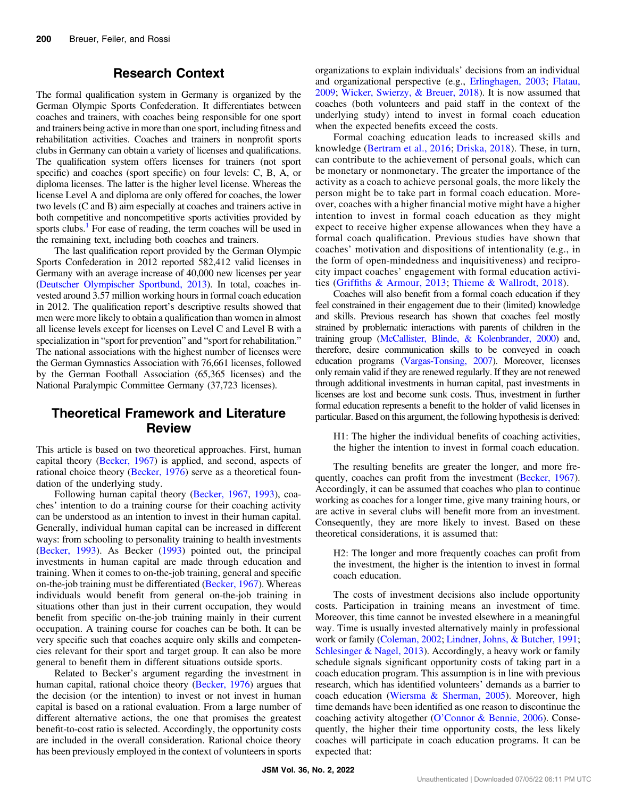## Research Context

The formal qualification system in Germany is organized by the German Olympic Sports Confederation. It differentiates between coaches and trainers, with coaches being responsible for one sport and trainers being active in more than one sport, including fitness and rehabilitation activities. Coaches and trainers in nonprofit sports clubs in Germany can obtain a variety of licenses and qualifications. The qualification system offers licenses for trainers (not sport specific) and coaches (sport specific) on four levels: C, B, A, or diploma licenses. The latter is the higher level license. Whereas the license Level A and diploma are only offered for coaches, the lower two levels (C and B) aim especially at coaches and trainers active in both competitive and noncompetitive sports activities provided by sports clubs.<sup>[1](#page-8-0)</sup> For ease of reading, the term coaches will be used in the remaining text, including both coaches and trainers.

The last qualification report provided by the German Olympic Sports Confederation in 2012 reported 582,412 valid licenses in Germany with an average increase of 40,000 new licenses per year [\(Deutscher Olympischer Sportbund, 2013](#page-9-0)). In total, coaches invested around 3.57 million working hours in formal coach education in 2012. The qualification report's descriptive results showed that men were more likely to obtain a qualification than women in almost all license levels except for licenses on Level C and Level B with a specialization in "sport for prevention" and "sport for rehabilitation." The national associations with the highest number of licenses were the German Gymnastics Association with 76,661 licenses, followed by the German Football Association (65,365 licenses) and the National Paralympic Committee Germany (37,723 licenses).

## Theoretical Framework and Literature Review

This article is based on two theoretical approaches. First, human capital theory ([Becker, 1967](#page-9-0)) is applied, and second, aspects of rational choice theory ([Becker, 1976\)](#page-9-0) serve as a theoretical foundation of the underlying study.

Following human capital theory ([Becker, 1967](#page-9-0), [1993\)](#page-9-0), coaches' intention to do a training course for their coaching activity can be understood as an intention to invest in their human capital. Generally, individual human capital can be increased in different ways: from schooling to personality training to health investments [\(Becker, 1993\)](#page-9-0). As Becker ([1993\)](#page-9-0) pointed out, the principal investments in human capital are made through education and training. When it comes to on-the-job training, general and specific on-the-job training must be differentiated ([Becker, 1967](#page-9-0)). Whereas individuals would benefit from general on-the-job training in situations other than just in their current occupation, they would benefit from specific on-the-job training mainly in their current occupation. A training course for coaches can be both. It can be very specific such that coaches acquire only skills and competencies relevant for their sport and target group. It can also be more general to benefit them in different situations outside sports.

Related to Becker's argument regarding the investment in human capital, rational choice theory ([Becker, 1976](#page-9-0)) argues that the decision (or the intention) to invest or not invest in human capital is based on a rational evaluation. From a large number of different alternative actions, the one that promises the greatest benefit-to-cost ratio is selected. Accordingly, the opportunity costs are included in the overall consideration. Rational choice theory has been previously employed in the context of volunteers in sports organizations to explain individuals' decisions from an individual and organizational perspective (e.g., [Erlinghagen, 2003;](#page-9-0) [Flatau,](#page-9-0) [2009](#page-9-0); [Wicker, Swierzy, & Breuer, 2018](#page-10-0)). It is now assumed that coaches (both volunteers and paid staff in the context of the underlying study) intend to invest in formal coach education when the expected benefits exceed the costs.

Formal coaching education leads to increased skills and knowledge ([Bertram et al., 2016;](#page-9-0) [Driska, 2018](#page-9-0)). These, in turn, can contribute to the achievement of personal goals, which can be monetary or nonmonetary. The greater the importance of the activity as a coach to achieve personal goals, the more likely the person might be to take part in formal coach education. Moreover, coaches with a higher financial motive might have a higher intention to invest in formal coach education as they might expect to receive higher expense allowances when they have a formal coach qualification. Previous studies have shown that coaches' motivation and dispositions of intentionality (e.g., in the form of open-mindedness and inquisitiveness) and reciprocity impact coaches' engagement with formal education activities (Griffi[ths & Armour, 2013](#page-9-0); [Thieme & Wallrodt, 2018\)](#page-10-0).

Coaches will also benefit from a formal coach education if they feel constrained in their engagement due to their (limited) knowledge and skills. Previous research has shown that coaches feel mostly strained by problematic interactions with parents of children in the training group [\(McCallister, Blinde, & Kolenbrander, 2000\)](#page-10-0) and, therefore, desire communication skills to be conveyed in coach education programs ([Vargas-Tonsing, 2007\)](#page-10-0). Moreover, licenses only remain valid if they are renewed regularly. If they are not renewed through additional investments in human capital, past investments in licenses are lost and become sunk costs. Thus, investment in further formal education represents a benefit to the holder of valid licenses in particular. Based on this argument, the following hypothesis is derived:

H1: The higher the individual benefits of coaching activities, the higher the intention to invest in formal coach education.

The resulting benefits are greater the longer, and more frequently, coaches can profit from the investment ([Becker, 1967](#page-9-0)). Accordingly, it can be assumed that coaches who plan to continue working as coaches for a longer time, give many training hours, or are active in several clubs will benefit more from an investment. Consequently, they are more likely to invest. Based on these theoretical considerations, it is assumed that:

H2: The longer and more frequently coaches can profit from the investment, the higher is the intention to invest in formal coach education.

The costs of investment decisions also include opportunity costs. Participation in training means an investment of time. Moreover, this time cannot be invested elsewhere in a meaningful way. Time is usually invested alternatively mainly in professional work or family ([Coleman, 2002](#page-9-0); [Lindner, Johns, & Butcher, 1991](#page-9-0); [Schlesinger & Nagel, 2013\)](#page-10-0). Accordingly, a heavy work or family schedule signals significant opportunity costs of taking part in a coach education program. This assumption is in line with previous research, which has identified volunteers' demands as a barrier to coach education [\(Wiersma & Sherman, 2005\)](#page-10-0). Moreover, high time demands have been identified as one reason to discontinue the coaching activity altogether (O'[Connor & Bennie, 2006\)](#page-10-0). Consequently, the higher their time opportunity costs, the less likely coaches will participate in coach education programs. It can be expected that: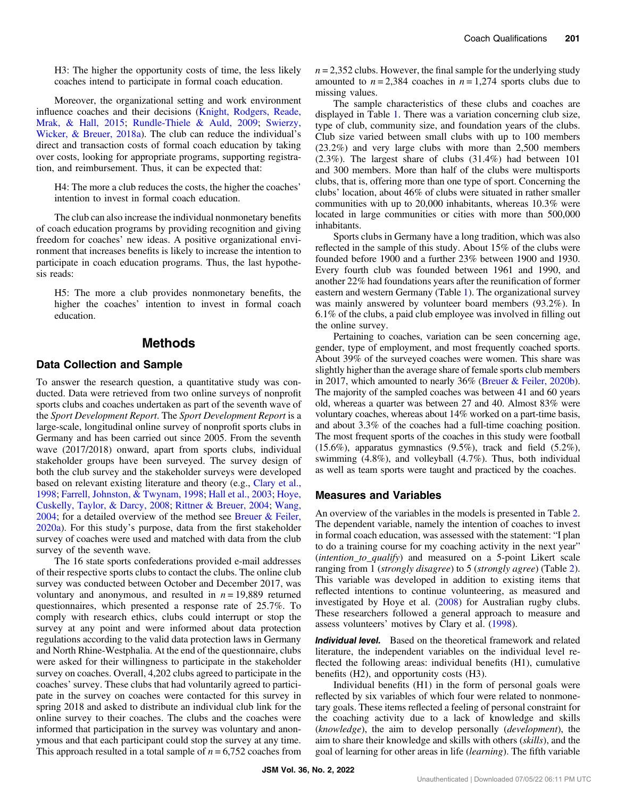H3: The higher the opportunity costs of time, the less likely coaches intend to participate in formal coach education.

Moreover, the organizational setting and work environment influence coaches and their decisions [\(Knight, Rodgers, Reade,](#page-9-0) [Mrak, & Hall, 2015;](#page-9-0) [Rundle-Thiele & Auld, 2009;](#page-10-0) [Swierzy,](#page-10-0) [Wicker, & Breuer, 2018a\)](#page-10-0). The club can reduce the individual's direct and transaction costs of formal coach education by taking over costs, looking for appropriate programs, supporting registration, and reimbursement. Thus, it can be expected that:

H4: The more a club reduces the costs, the higher the coaches' intention to invest in formal coach education.

The club can also increase the individual nonmonetary benefits of coach education programs by providing recognition and giving freedom for coaches' new ideas. A positive organizational environment that increases benefits is likely to increase the intention to participate in coach education programs. Thus, the last hypothesis reads:

H5: The more a club provides nonmonetary benefits, the higher the coaches' intention to invest in formal coach education.

#### Methods

#### Data Collection and Sample

To answer the research question, a quantitative study was conducted. Data were retrieved from two online surveys of nonprofit sports clubs and coaches undertaken as part of the seventh wave of the Sport Development Report. The Sport Development Report is a large-scale, longitudinal online survey of nonprofit sports clubs in Germany and has been carried out since 2005. From the seventh wave (2017/2018) onward, apart from sports clubs, individual stakeholder groups have been surveyed. The survey design of both the club survey and the stakeholder surveys were developed based on relevant existing literature and theory (e.g., [Clary et al.,](#page-9-0) [1998](#page-9-0); [Farrell, Johnston, & Twynam, 1998](#page-10-0); [Hall et al., 2003;](#page-9-0) [Hoye,](#page-9-0) [Cuskelly, Taylor, & Darcy, 2008;](#page-9-0) [Rittner & Breuer, 2004](#page-10-0); [Wang,](#page-10-0) [2004](#page-10-0); for a detailed overview of the method see [Breuer & Feiler,](#page-9-0) [2020a](#page-9-0)). For this study's purpose, data from the first stakeholder survey of coaches were used and matched with data from the club survey of the seventh wave.

The 16 state sports confederations provided e-mail addresses of their respective sports clubs to contact the clubs. The online club survey was conducted between October and December 2017, was voluntary and anonymous, and resulted in  $n = 19,889$  returned questionnaires, which presented a response rate of 25.7%. To comply with research ethics, clubs could interrupt or stop the survey at any point and were informed about data protection regulations according to the valid data protection laws in Germany and North Rhine-Westphalia. At the end of the questionnaire, clubs were asked for their willingness to participate in the stakeholder survey on coaches. Overall, 4,202 clubs agreed to participate in the coaches' survey. These clubs that had voluntarily agreed to participate in the survey on coaches were contacted for this survey in spring 2018 and asked to distribute an individual club link for the online survey to their coaches. The clubs and the coaches were informed that participation in the survey was voluntary and anonymous and that each participant could stop the survey at any time. This approach resulted in a total sample of  $n = 6,752$  coaches from  $n = 2,352$  clubs. However, the final sample for the underlying study amounted to  $n = 2,384$  coaches in  $n = 1,274$  sports clubs due to missing values.

The sample characteristics of these clubs and coaches are displayed in Table [1](#page-3-0). There was a variation concerning club size, type of club, community size, and foundation years of the clubs. Club size varied between small clubs with up to 100 members (23.2%) and very large clubs with more than 2,500 members (2.3%). The largest share of clubs (31.4%) had between 101 and 300 members. More than half of the clubs were multisports clubs, that is, offering more than one type of sport. Concerning the clubs' location, about 46% of clubs were situated in rather smaller communities with up to 20,000 inhabitants, whereas 10.3% were located in large communities or cities with more than 500,000 inhabitants.

Sports clubs in Germany have a long tradition, which was also reflected in the sample of this study. About 15% of the clubs were founded before 1900 and a further 23% between 1900 and 1930. Every fourth club was founded between 1961 and 1990, and another 22% had foundations years after the reunification of former eastern and western Germany (Table [1\)](#page-3-0). The organizational survey was mainly answered by volunteer board members (93.2%). In 6.1% of the clubs, a paid club employee was involved in filling out the online survey.

Pertaining to coaches, variation can be seen concerning age, gender, type of employment, and most frequently coached sports. About 39% of the surveyed coaches were women. This share was slightly higher than the average share of female sports club members in 2017, which amounted to nearly 36% [\(Breuer & Feiler, 2020b](#page-9-0)). The majority of the sampled coaches was between 41 and 60 years old, whereas a quarter was between 27 and 40. Almost 83% were voluntary coaches, whereas about 14% worked on a part-time basis, and about 3.3% of the coaches had a full-time coaching position. The most frequent sports of the coaches in this study were football  $(15.6\%)$ , apparatus gymnastics  $(9.5\%)$ , track and field  $(5.2\%)$ , swimming (4.8%), and volleyball (4.7%). Thus, both individual as well as team sports were taught and practiced by the coaches.

#### Measures and Variables

An overview of the variables in the models is presented in Table [2.](#page-4-0) The dependent variable, namely the intention of coaches to invest in formal coach education, was assessed with the statement: "I plan to do a training course for my coaching activity in the next year" (intention\_to\_qualify) and measured on a 5-point Likert scale ranging from 1 (strongly disagree) to 5 (strongly agree) (Table [2](#page-4-0)). This variable was developed in addition to existing items that reflected intentions to continue volunteering, as measured and investigated by Hoye et al. [\(2008](#page-9-0)) for Australian rugby clubs. These researchers followed a general approach to measure and assess volunteers' motives by Clary et al. [\(1998](#page-9-0)).

Individual level. Based on the theoretical framework and related literature, the independent variables on the individual level reflected the following areas: individual benefits (H1), cumulative benefits (H2), and opportunity costs (H3).

Individual benefits (H1) in the form of personal goals were reflected by six variables of which four were related to nonmonetary goals. These items reflected a feeling of personal constraint for the coaching activity due to a lack of knowledge and skills (knowledge), the aim to develop personally (development), the aim to share their knowledge and skills with others (skills), and the goal of learning for other areas in life (learning). The fifth variable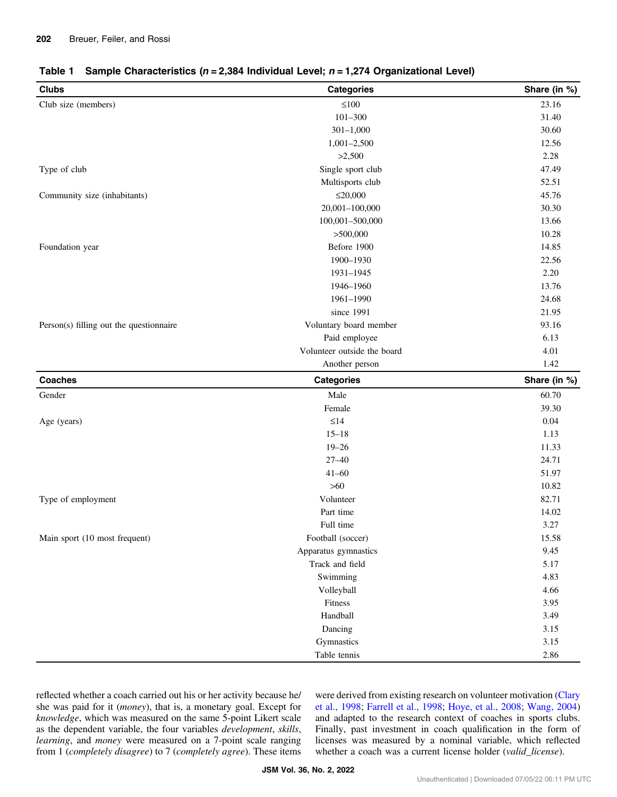<span id="page-3-0"></span>

| <b>Clubs</b>                            | <b>Categories</b>           | Share (in %) |
|-----------------------------------------|-----------------------------|--------------|
| Club size (members)                     | $\leq100$                   | 23.16        |
|                                         | $101 - 300$                 | 31.40        |
|                                         | $301 - 1,000$               | 30.60        |
|                                         | $1,001-2,500$               | 12.56        |
|                                         | >2,500                      | 2.28         |
| Type of club                            | Single sport club           | 47.49        |
|                                         | Multisports club            | 52.51        |
| Community size (inhabitants)            | $\leq 20,000$               | 45.76        |
|                                         | 20,001-100,000              | 30.30        |
|                                         | 100,001-500,000             | 13.66        |
|                                         | >500,000                    | 10.28        |
| Foundation year                         | Before 1900                 | 14.85        |
|                                         | 1900-1930                   | 22.56        |
|                                         | 1931-1945                   | 2.20         |
|                                         | 1946-1960                   | 13.76        |
|                                         | 1961-1990                   | 24.68        |
|                                         | since 1991                  | 21.95        |
| Person(s) filling out the questionnaire | Voluntary board member      | 93.16        |
|                                         | Paid employee               | 6.13         |
|                                         | Volunteer outside the board | 4.01         |
|                                         | Another person              | 1.42         |
| <b>Coaches</b>                          | <b>Categories</b>           | Share (in %) |
| Gender                                  | Male                        | 60.70        |
|                                         | Female                      | 39.30        |
| Age (years)                             | $\leq$ 14                   | 0.04         |
|                                         | $15 - 18$                   | 1.13         |
|                                         | $19 - 26$                   | 11.33        |
|                                         | $27 - 40$                   | 24.71        |
|                                         | $41 - 60$                   | 51.97        |
|                                         | $>60$                       | 10.82        |
| Type of employment                      | Volunteer                   | 82.71        |
|                                         | Part time                   | 14.02        |
|                                         | Full time                   | 3.27         |
| Main sport (10 most frequent)           | Football (soccer)           | 15.58        |
|                                         | Apparatus gymnastics        | 9.45         |
|                                         | Track and field             | 5.17         |
|                                         | Swimming                    | 4.83         |
|                                         | Volleyball                  | 4.66         |
|                                         | Fitness                     | 3.95         |
|                                         | Handball                    | 3.49         |
|                                         |                             |              |
|                                         | Dancing                     | 3.15         |
|                                         | Gymnastics                  | 3.15         |

reflected whether a coach carried out his or her activity because he/ she was paid for it (money), that is, a monetary goal. Except for knowledge, which was measured on the same 5-point Likert scale as the dependent variable, the four variables development, skills, learning, and money were measured on a 7-point scale ranging from 1 (completely disagree) to 7 (completely agree). These items were derived from existing research on volunteer motivation ([Clary](#page-9-0) [et al., 1998](#page-9-0); [Farrell et al., 1998](#page-9-0); [Hoye, et al., 2008](#page-9-0); [Wang, 2004\)](#page-10-0) and adapted to the research context of coaches in sports clubs. Finally, past investment in coach qualification in the form of licenses was measured by a nominal variable, which reflected whether a coach was a current license holder (valid\_license).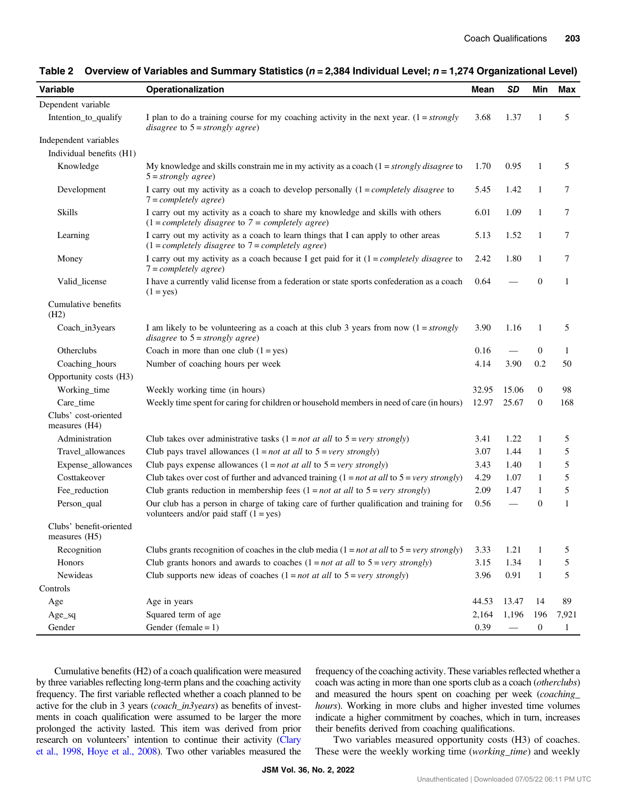| Variable                                 | Operationalization                                                                                                                        | Mean  | <b>SD</b>       | Min              | <b>Max</b>   |
|------------------------------------------|-------------------------------------------------------------------------------------------------------------------------------------------|-------|-----------------|------------------|--------------|
| Dependent variable                       |                                                                                                                                           |       |                 |                  |              |
| Intention_to_qualify                     | I plan to do a training course for my coaching activity in the next year. $(1 = strongly$<br>disagree to $5 =$ strongly agree)            | 3.68  | 1.37            | 1                | 5            |
| Independent variables                    |                                                                                                                                           |       |                 |                  |              |
| Individual benefits (H1)                 |                                                                                                                                           |       |                 |                  |              |
| Knowledge                                | My knowledge and skills constrain me in my activity as a coach $(1 = strongly \, disagree \, to \,$<br>$5 = strongly agree)$              | 1.70  | 0.95            | 1                | 5            |
| Development                              | I carry out my activity as a coach to develop personally $(1 = completely \; disagree \; to$<br>$7 = completely \ agree)$                 | 5.45  | 1.42            | $\mathbf{1}$     | $\tau$       |
| <b>Skills</b>                            | I carry out my activity as a coach to share my knowledge and skills with others<br>$(1 = completely disagree to 7 = completely agree)$    |       | 1.09            | $\mathbf{1}$     | 7            |
| Learning                                 | I carry out my activity as a coach to learn things that I can apply to other areas<br>$(1 = completely disagree to 7 = completely agree)$ | 5.13  | 1.52            | $\mathbf{1}$     | $\tau$       |
| Money                                    | I carry out my activity as a coach because I get paid for it $(1 = completely \ disagree$ to<br>$7 = completely \ agree)$                 | 2.42  | 1.80            | 1                | 7            |
| Valid_license                            | I have a currently valid license from a federation or state sports confederation as a coach<br>$(1 = yes)$                                | 0.64  |                 | $\mathbf{0}$     | $\mathbf{1}$ |
| Cumulative benefits<br>(H2)              |                                                                                                                                           |       |                 |                  |              |
| Coach_in3years                           | I am likely to be volunteering as a coach at this club 3 years from now $(1 = strongly)$<br>disagree to $5 =$ strongly agree)             | 3.90  | 1.16            | 1                | 5            |
| Otherclubs                               | Coach in more than one club $(1 = yes)$                                                                                                   | 0.16  |                 | $\theta$         | 1            |
| Coaching_hours                           | Number of coaching hours per week                                                                                                         | 4.14  | 3.90            | 0.2              | 50           |
| Opportunity costs (H3)                   |                                                                                                                                           |       |                 |                  |              |
| Working_time                             | Weekly working time (in hours)                                                                                                            | 32.95 | 15.06           | $\boldsymbol{0}$ | 98           |
| Care_time                                | Weekly time spent for caring for children or household members in need of care (in hours)                                                 | 12.97 | 25.67           | $\boldsymbol{0}$ | 168          |
| Clubs' cost-oriented<br>measures (H4)    |                                                                                                                                           |       |                 |                  |              |
| Administration                           | Club takes over administrative tasks $(1 = not at all to 5 = very \ strongly)$                                                            | 3.41  | 1.22            | 1                | 5            |
| Travel_allowances                        | Club pays travel allowances $(1 = not at all to 5 = very strongly)$                                                                       | 3.07  | 1.44            | $\mathbf{1}$     | 5            |
| Expense_allowances                       | Club pays expense allowances $(1 = not at all to 5 = very strongly)$                                                                      | 3.43  | 1.40            | 1                | 5            |
| Costtakeover                             | Club takes over cost of further and advanced training $(1 = not at all to 5 = very \ strongly)$                                           | 4.29  | 1.07            | 1                | 5            |
| Fee_reduction                            | Club grants reduction in membership fees $(1 = not at all to 5 = very \ strongly)$                                                        | 2.09  | 1.47            | 1                | 5            |
| Person_qual                              | Our club has a person in charge of taking care of further qualification and training for<br>volunteers and/or paid staff $(1 = yes)$      | 0.56  | $\qquad \qquad$ | $\boldsymbol{0}$ | 1            |
| Clubs' benefit-oriented<br>measures (H5) |                                                                                                                                           |       |                 |                  |              |
| Recognition                              | Clubs grants recognition of coaches in the club media $(1 = not at all to 5 = very \, strongly)$                                          | 3.33  | 1.21            | 1                | 5            |
| Honors                                   | Club grants honors and awards to coaches $(1 = not at all to 5 = very strongly)$                                                          | 3.15  | 1.34            | $\mathbf{1}$     | 5            |
| Newideas                                 | Club supports new ideas of coaches $(1 = not at all to 5 = very strongly)$                                                                | 3.96  | 0.91            | $\mathbf{1}$     | 5            |
| Controls                                 |                                                                                                                                           |       |                 |                  |              |
| Age                                      | Age in years                                                                                                                              | 44.53 | 13.47           | 14               | 89           |
| $Age\_sq$                                | Squared term of age                                                                                                                       | 2,164 | 1,196           | 196              | 7,921        |
| Gender                                   | Gender (female = $1$ )                                                                                                                    | 0.39  | —               | $\boldsymbol{0}$ | $\mathbf{1}$ |

#### <span id="page-4-0"></span>Table 2 Overview of Variables and Summary Statistics ( $n = 2,384$  Individual Level;  $n = 1,274$  Organizational Level)

Cumulative benefits (H2) of a coach qualification were measured by three variables reflecting long-term plans and the coaching activity frequency. The first variable reflected whether a coach planned to be active for the club in 3 years (*coach\_in3years*) as benefits of investments in coach qualification were assumed to be larger the more prolonged the activity lasted. This item was derived from prior research on volunteers' intention to continue their activity ([Clary](#page-9-0) [et al., 1998,](#page-9-0) [Hoye et al., 2008\)](#page-9-0). Two other variables measured the frequency of the coaching activity. These variables reflected whether a coach was acting in more than one sports club as a coach (otherclubs) and measured the hours spent on coaching per week (coaching\_ hours). Working in more clubs and higher invested time volumes indicate a higher commitment by coaches, which in turn, increases their benefits derived from coaching qualifications.

Two variables measured opportunity costs (H3) of coaches. These were the weekly working time (working\_time) and weekly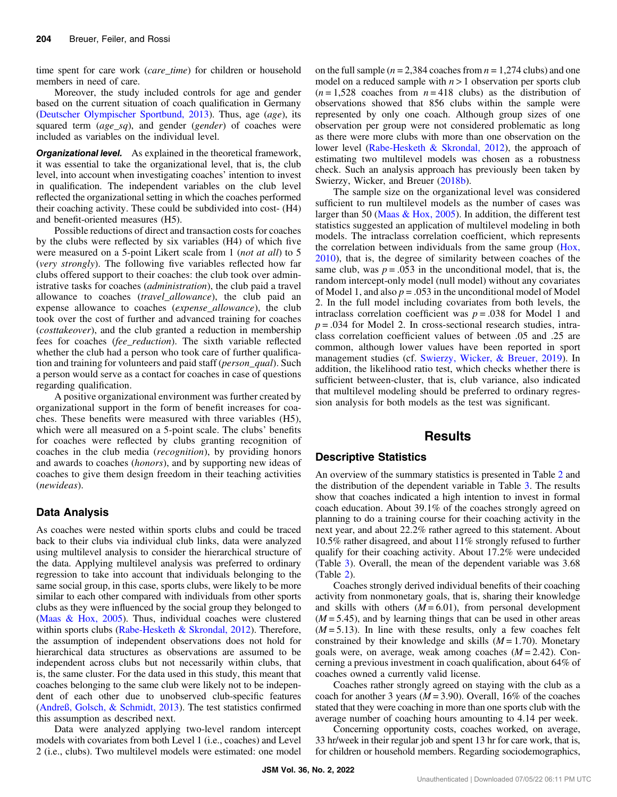time spent for care work (*care\_time*) for children or household members in need of care.

Moreover, the study included controls for age and gender based on the current situation of coach qualification in Germany [\(Deutscher Olympischer Sportbund, 2013](#page-9-0)). Thus, age (age), its squared term  $(age_sq)$ , and gender (gender) of coaches were included as variables on the individual level.

**Organizational level.** As explained in the theoretical framework, it was essential to take the organizational level, that is, the club level, into account when investigating coaches' intention to invest in qualification. The independent variables on the club level reflected the organizational setting in which the coaches performed their coaching activity. These could be subdivided into cost- (H4) and benefit-oriented measures (H5).

Possible reductions of direct and transaction costs for coaches by the clubs were reflected by six variables (H4) of which five were measured on a 5-point Likert scale from 1 *(not at all)* to 5 (very strongly). The following five variables reflected how far clubs offered support to their coaches: the club took over administrative tasks for coaches (administration), the club paid a travel allowance to coaches (travel allowance), the club paid an expense allowance to coaches (expense\_allowance), the club took over the cost of further and advanced training for coaches (costtakeover), and the club granted a reduction in membership fees for coaches (fee\_reduction). The sixth variable reflected whether the club had a person who took care of further qualification and training for volunteers and paid staff (person\_qual). Such a person would serve as a contact for coaches in case of questions regarding qualification.

A positive organizational environment was further created by organizational support in the form of benefit increases for coaches. These benefits were measured with three variables (H5), which were all measured on a 5-point scale. The clubs' benefits for coaches were reflected by clubs granting recognition of coaches in the club media (recognition), by providing honors and awards to coaches (honors), and by supporting new ideas of coaches to give them design freedom in their teaching activities (newideas).

#### Data Analysis

As coaches were nested within sports clubs and could be traced back to their clubs via individual club links, data were analyzed using multilevel analysis to consider the hierarchical structure of the data. Applying multilevel analysis was preferred to ordinary regression to take into account that individuals belonging to the same social group, in this case, sports clubs, were likely to be more similar to each other compared with individuals from other sports clubs as they were influenced by the social group they belonged to [\(Maas & Hox, 2005\)](#page-10-0). Thus, individual coaches were clustered within sports clubs ([Rabe-Hesketh & Skrondal, 2012\)](#page-10-0). Therefore, the assumption of independent observations does not hold for hierarchical data structures as observations are assumed to be independent across clubs but not necessarily within clubs, that is, the same cluster. For the data used in this study, this meant that coaches belonging to the same club were likely not to be independent of each other due to unobserved club-specific features [\(Andreß, Golsch, & Schmidt, 2013\)](#page-9-0). The test statistics confirmed this assumption as described next.

Data were analyzed applying two-level random intercept models with covariates from both Level 1 (i.e., coaches) and Level 2 (i.e., clubs). Two multilevel models were estimated: one model on the full sample ( $n = 2,384$  coaches from  $n = 1,274$  clubs) and one model on a reduced sample with  $n > 1$  observation per sports club  $(n=1,528)$  coaches from  $n=418$  clubs) as the distribution of observations showed that 856 clubs within the sample were represented by only one coach. Although group sizes of one observation per group were not considered problematic as long as there were more clubs with more than one observation on the lower level [\(Rabe-Hesketh & Skrondal, 2012](#page-10-0)), the approach of estimating two multilevel models was chosen as a robustness check. Such an analysis approach has previously been taken by Swierzy, Wicker, and Breuer [\(2018b](#page-10-0)).

The sample size on the organizational level was considered sufficient to run multilevel models as the number of cases was larger than 50 ([Maas & Hox, 2005](#page-10-0)). In addition, the different test statistics suggested an application of multilevel modeling in both models. The intraclass correlation coefficient, which represents the correlation between individuals from the same group [\(Hox,](#page-9-0) [2010](#page-9-0)), that is, the degree of similarity between coaches of the same club, was  $p = .053$  in the unconditional model, that is, the random intercept-only model (null model) without any covariates of Model 1, and also  $p = 0.053$  in the unconditional model of Model 2. In the full model including covariates from both levels, the intraclass correlation coefficient was  $p = .038$  for Model 1 and  $p = 0.034$  for Model 2. In cross-sectional research studies, intraclass correlation coefficient values of between .05 and .25 are common, although lower values have been reported in sport management studies (cf. [Swierzy, Wicker, & Breuer, 2019](#page-10-0)). In addition, the likelihood ratio test, which checks whether there is sufficient between-cluster, that is, club variance, also indicated that multilevel modeling should be preferred to ordinary regression analysis for both models as the test was significant.

### **Results**

#### Descriptive Statistics

An overview of the summary statistics is presented in Table [2](#page-4-0) and the distribution of the dependent variable in Table [3.](#page-6-0) The results show that coaches indicated a high intention to invest in formal coach education. About 39.1% of the coaches strongly agreed on planning to do a training course for their coaching activity in the next year, and about 22.2% rather agreed to this statement. About 10.5% rather disagreed, and about 11% strongly refused to further qualify for their coaching activity. About 17.2% were undecided (Table [3](#page-6-0)). Overall, the mean of the dependent variable was 3.68 (Table [2](#page-4-0)).

Coaches strongly derived individual benefits of their coaching activity from nonmonetary goals, that is, sharing their knowledge and skills with others  $(M = 6.01)$ , from personal development  $(M = 5.45)$ , and by learning things that can be used in other areas  $(M = 5.13)$ . In line with these results, only a few coaches felt constrained by their knowledge and skills  $(M = 1.70)$ . Monetary goals were, on average, weak among coaches  $(M = 2.42)$ . Concerning a previous investment in coach qualification, about 64% of coaches owned a currently valid license.

Coaches rather strongly agreed on staying with the club as a coach for another 3 years ( $M = 3.90$ ). Overall, 16% of the coaches stated that they were coaching in more than one sports club with the average number of coaching hours amounting to 4.14 per week.

Concerning opportunity costs, coaches worked, on average, 33 hr/week in their regular job and spent 13 hr for care work, that is, for children or household members. Regarding sociodemographics,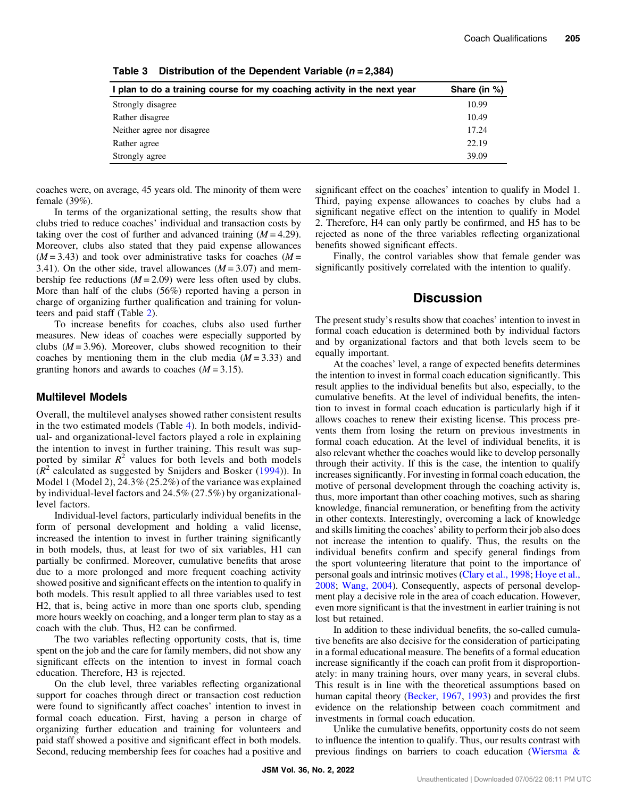| I plan to do a training course for my coaching activity in the next year | Share (in %) |
|--------------------------------------------------------------------------|--------------|
| Strongly disagree                                                        | 10.99        |
| Rather disagree                                                          | 10.49        |
| Neither agree nor disagree                                               | 17.24        |
| Rather agree                                                             | 22.19        |
| Strongly agree                                                           | 39.09        |

<span id="page-6-0"></span>Table 3 Distribution of the Dependent Variable  $(n = 2,384)$ 

coaches were, on average, 45 years old. The minority of them were female (39%).

In terms of the organizational setting, the results show that clubs tried to reduce coaches' individual and transaction costs by taking over the cost of further and advanced training  $(M = 4.29)$ . Moreover, clubs also stated that they paid expense allowances  $(M = 3.43)$  and took over administrative tasks for coaches  $(M =$ 3.41). On the other side, travel allowances  $(M = 3.07)$  and membership fee reductions  $(M = 2.09)$  were less often used by clubs. More than half of the clubs (56%) reported having a person in charge of organizing further qualification and training for volunteers and paid staff (Table [2\)](#page-4-0).

To increase benefits for coaches, clubs also used further measures. New ideas of coaches were especially supported by clubs  $(M = 3.96)$ . Moreover, clubs showed recognition to their coaches by mentioning them in the club media  $(M = 3.33)$  and granting honors and awards to coaches  $(M = 3.15)$ .

#### Multilevel Models

Overall, the multilevel analyses showed rather consistent results in the two estimated models (Table [4\)](#page-7-0). In both models, individual- and organizational-level factors played a role in explaining the intention to invest in further training. This result was supported by similar  $R^2$  values for both levels and both models  $(R^2$  calculated as suggested by Snijders and Bosker [\(1994\)](#page-10-0)). In Model 1 (Model 2), 24.3% (25.2%) of the variance was explained by individual-level factors and 24.5% (27.5%) by organizationallevel factors.

Individual-level factors, particularly individual benefits in the form of personal development and holding a valid license, increased the intention to invest in further training significantly in both models, thus, at least for two of six variables, H1 can partially be confirmed. Moreover, cumulative benefits that arose due to a more prolonged and more frequent coaching activity showed positive and significant effects on the intention to qualify in both models. This result applied to all three variables used to test H2, that is, being active in more than one sports club, spending more hours weekly on coaching, and a longer term plan to stay as a coach with the club. Thus, H2 can be confirmed.

The two variables reflecting opportunity costs, that is, time spent on the job and the care for family members, did not show any significant effects on the intention to invest in formal coach education. Therefore, H3 is rejected.

On the club level, three variables reflecting organizational support for coaches through direct or transaction cost reduction were found to significantly affect coaches' intention to invest in formal coach education. First, having a person in charge of organizing further education and training for volunteers and paid staff showed a positive and significant effect in both models. Second, reducing membership fees for coaches had a positive and significant effect on the coaches' intention to qualify in Model 1. Third, paying expense allowances to coaches by clubs had a significant negative effect on the intention to qualify in Model 2. Therefore, H4 can only partly be confirmed, and H5 has to be rejected as none of the three variables reflecting organizational benefits showed significant effects.

Finally, the control variables show that female gender was significantly positively correlated with the intention to qualify.

## **Discussion**

The present study's results show that coaches' intention to invest in formal coach education is determined both by individual factors and by organizational factors and that both levels seem to be equally important.

At the coaches' level, a range of expected benefits determines the intention to invest in formal coach education significantly. This result applies to the individual benefits but also, especially, to the cumulative benefits. At the level of individual benefits, the intention to invest in formal coach education is particularly high if it allows coaches to renew their existing license. This process prevents them from losing the return on previous investments in formal coach education. At the level of individual benefits, it is also relevant whether the coaches would like to develop personally through their activity. If this is the case, the intention to qualify increases significantly. For investing in formal coach education, the motive of personal development through the coaching activity is, thus, more important than other coaching motives, such as sharing knowledge, financial remuneration, or benefiting from the activity in other contexts. Interestingly, overcoming a lack of knowledge and skills limiting the coaches' ability to perform their job also does not increase the intention to qualify. Thus, the results on the individual benefits confirm and specify general findings from the sport volunteering literature that point to the importance of personal goals and intrinsic motives [\(Clary et al., 1998](#page-9-0); [Hoye et al.,](#page-9-0) [2008](#page-9-0); [Wang, 2004](#page-10-0)). Consequently, aspects of personal development play a decisive role in the area of coach education. However, even more significant is that the investment in earlier training is not lost but retained.

In addition to these individual benefits, the so-called cumulative benefits are also decisive for the consideration of participating in a formal educational measure. The benefits of a formal education increase significantly if the coach can profit from it disproportionately: in many training hours, over many years, in several clubs. This result is in line with the theoretical assumptions based on human capital theory ([Becker, 1967](#page-9-0), [1993\)](#page-9-0) and provides the first evidence on the relationship between coach commitment and investments in formal coach education.

Unlike the cumulative benefits, opportunity costs do not seem to influence the intention to qualify. Thus, our results contrast with previous findings on barriers to coach education ([Wiersma &](#page-10-0)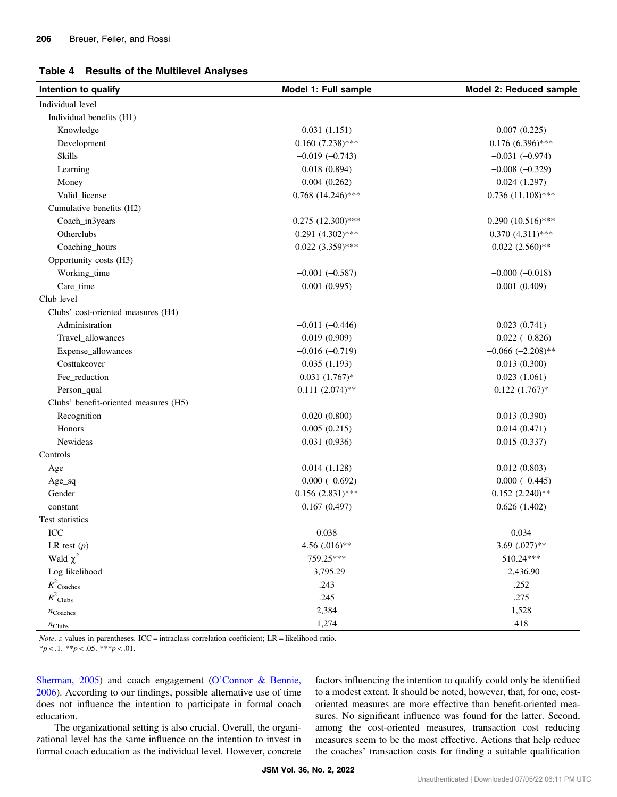#### <span id="page-7-0"></span>Table 4 Results of the Multilevel Analyses

| Intention to qualify                  | Model 1: Full sample   | Model 2: Reduced sample |  |
|---------------------------------------|------------------------|-------------------------|--|
| Individual level                      |                        |                         |  |
| Individual benefits (H1)              |                        |                         |  |
| Knowledge                             | 0.031(1.151)           | 0.007(0.225)            |  |
| Development                           | $0.160(7.238)$ ***     | $0.176(6.396)$ ***      |  |
| <b>Skills</b>                         | $-0.019(-0.743)$       | $-0.031(-0.974)$        |  |
| Learning                              | 0.018(0.894)           | $-0.008 (-0.329)$       |  |
| Money                                 | 0.004(0.262)           | 0.024(1.297)            |  |
| Valid_license                         | $0.768$ $(14.246)$ *** | $0.736(11.108)$ ***     |  |
| Cumulative benefits (H2)              |                        |                         |  |
| Coach_in3years                        | $0.275$ $(12.300)$ *** | $0.290(10.516)$ ***     |  |
| Otherclubs                            | $0.291 (4.302)$ ***    | $0.370(4.311)$ ***      |  |
| Coaching_hours                        | $0.022(3.359)$ ***     | $0.022(2.560)$ **       |  |
| Opportunity costs (H3)                |                        |                         |  |
| Working_time                          | $-0.001 (-0.587)$      | $-0.000 (-0.018)$       |  |
| Care_time                             | 0.001(0.995)           | 0.001(0.409)            |  |
| Club level                            |                        |                         |  |
| Clubs' cost-oriented measures (H4)    |                        |                         |  |
| Administration                        | $-0.011 (-0.446)$      | 0.023(0.741)            |  |
| Travel_allowances                     | 0.019(0.909)           | $-0.022$ $(-0.826)$     |  |
| Expense_allowances                    | $-0.016(-0.719)$       | $-0.066$ $(-2.208)$ **  |  |
| Costtakeover                          | 0.035(1.193)           | 0.013(0.300)            |  |
| Fee_reduction                         | $0.031(1.767)*$        | 0.023(1.061)            |  |
| Person_qual                           | $0.111(2.074)$ **      | $0.122~(1.767)*$        |  |
| Clubs' benefit-oriented measures (H5) |                        |                         |  |
| Recognition                           | 0.020(0.800)           | 0.013(0.390)            |  |
| Honors                                | 0.005(0.215)           | 0.014(0.471)            |  |
| Newideas                              | 0.031(0.936)           | 0.015(0.337)            |  |
| Controls                              |                        |                         |  |
| Age                                   | 0.014(1.128)           | 0.012(0.803)            |  |
| $Age\_sq$                             | $-0.000 (-0.692)$      | $-0.000 (-0.445)$       |  |
| Gender                                | $0.156(2.831)$ ***     | $0.152(2.240)$ **       |  |
| constant                              | 0.167(0.497)           | 0.626(1.402)            |  |
| Test statistics                       |                        |                         |  |
| $\rm{ICC}$                            | 0.038                  | 0.034                   |  |
| LR test $(p)$                         | 4.56 (.016)**          | 3.69 $(.027)**$         |  |
| Wald $\chi^2$                         | 759.25***              | 510.24***               |  |
| Log likelihood                        | $-3,795.29$            | $-2,436.90$             |  |
| $R^2$ Coaches                         | .243                   | .252                    |  |
| $R^2$ Clubs                           | .245                   | .275                    |  |
| $n_{\text{Coaches}}$                  | 2,384                  | 1,528                   |  |
| $n_{\text{Clubs}}$                    | 1,274                  | 418                     |  |

Note. z values in parentheses. ICC = intraclass correlation coefficient; LR = likelihood ratio.

 $**p* < .1.$   $**p* < .05.$   $**p* < .01.$ 

[Sherman, 2005\)](#page-10-0) and coach engagement (O'[Connor & Bennie,](#page-10-0) [2006](#page-10-0)). According to our findings, possible alternative use of time does not influence the intention to participate in formal coach education.

The organizational setting is also crucial. Overall, the organizational level has the same influence on the intention to invest in formal coach education as the individual level. However, concrete factors influencing the intention to qualify could only be identified to a modest extent. It should be noted, however, that, for one, costoriented measures are more effective than benefit-oriented measures. No significant influence was found for the latter. Second, among the cost-oriented measures, transaction cost reducing measures seem to be the most effective. Actions that help reduce the coaches' transaction costs for finding a suitable qualification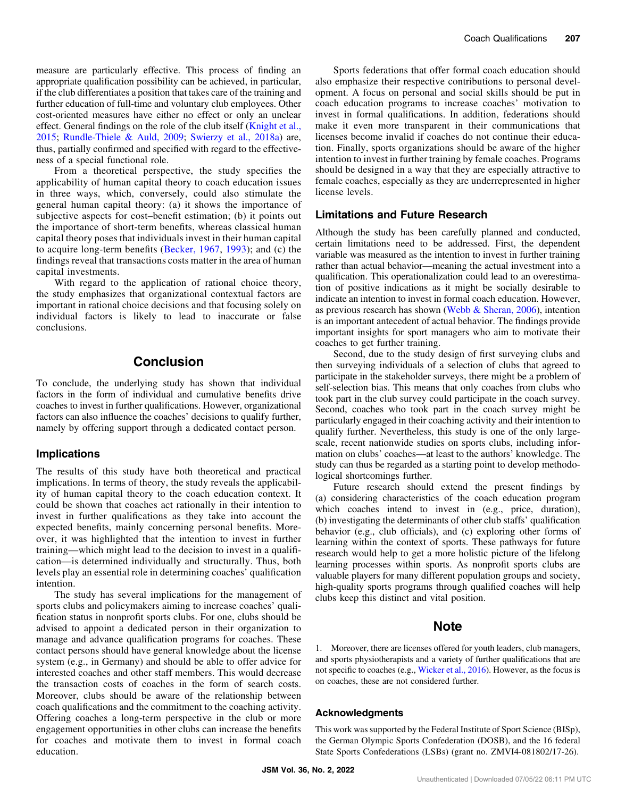<span id="page-8-0"></span>measure are particularly effective. This process of finding an appropriate qualification possibility can be achieved, in particular, if the club differentiates a position that takes care of the training and further education of full-time and voluntary club employees. Other cost-oriented measures have either no effect or only an unclear effect. General findings on the role of the club itself [\(Knight et al.,](#page-9-0) [2015](#page-9-0); [Rundle-Thiele & Auld, 2009](#page-10-0); [Swierzy et al., 2018a](#page-10-0)) are, thus, partially confirmed and specified with regard to the effectiveness of a special functional role.

From a theoretical perspective, the study specifies the applicability of human capital theory to coach education issues in three ways, which, conversely, could also stimulate the general human capital theory: (a) it shows the importance of subjective aspects for cost–benefit estimation; (b) it points out the importance of short-term benefits, whereas classical human capital theory poses that individuals invest in their human capital to acquire long-term benefits ([Becker, 1967](#page-9-0), [1993\)](#page-9-0); and (c) the findings reveal that transactions costs matter in the area of human capital investments.

With regard to the application of rational choice theory, the study emphasizes that organizational contextual factors are important in rational choice decisions and that focusing solely on individual factors is likely to lead to inaccurate or false conclusions.

## Conclusion

To conclude, the underlying study has shown that individual factors in the form of individual and cumulative benefits drive coaches to invest in further qualifications. However, organizational factors can also influence the coaches' decisions to qualify further, namely by offering support through a dedicated contact person.

#### Implications

The results of this study have both theoretical and practical implications. In terms of theory, the study reveals the applicability of human capital theory to the coach education context. It could be shown that coaches act rationally in their intention to invest in further qualifications as they take into account the expected benefits, mainly concerning personal benefits. Moreover, it was highlighted that the intention to invest in further training—which might lead to the decision to invest in a qualification—is determined individually and structurally. Thus, both levels play an essential role in determining coaches' qualification intention.

The study has several implications for the management of sports clubs and policymakers aiming to increase coaches' qualification status in nonprofit sports clubs. For one, clubs should be advised to appoint a dedicated person in their organization to manage and advance qualification programs for coaches. These contact persons should have general knowledge about the license system (e.g., in Germany) and should be able to offer advice for interested coaches and other staff members. This would decrease the transaction costs of coaches in the form of search costs. Moreover, clubs should be aware of the relationship between coach qualifications and the commitment to the coaching activity. Offering coaches a long-term perspective in the club or more engagement opportunities in other clubs can increase the benefits for coaches and motivate them to invest in formal coach education.

Sports federations that offer formal coach education should also emphasize their respective contributions to personal development. A focus on personal and social skills should be put in coach education programs to increase coaches' motivation to invest in formal qualifications. In addition, federations should make it even more transparent in their communications that licenses become invalid if coaches do not continue their education. Finally, sports organizations should be aware of the higher intention to invest in further training by female coaches. Programs should be designed in a way that they are especially attractive to female coaches, especially as they are underrepresented in higher license levels.

#### Limitations and Future Research

Although the study has been carefully planned and conducted, certain limitations need to be addressed. First, the dependent variable was measured as the intention to invest in further training rather than actual behavior—meaning the actual investment into a qualification. This operationalization could lead to an overestimation of positive indications as it might be socially desirable to indicate an intention to invest in formal coach education. However, as previous research has shown [\(Webb & Sheran, 2006\)](#page-10-0), intention is an important antecedent of actual behavior. The findings provide important insights for sport managers who aim to motivate their coaches to get further training.

Second, due to the study design of first surveying clubs and then surveying individuals of a selection of clubs that agreed to participate in the stakeholder surveys, there might be a problem of self-selection bias. This means that only coaches from clubs who took part in the club survey could participate in the coach survey. Second, coaches who took part in the coach survey might be particularly engaged in their coaching activity and their intention to qualify further. Nevertheless, this study is one of the only largescale, recent nationwide studies on sports clubs, including information on clubs' coaches—at least to the authors' knowledge. The study can thus be regarded as a starting point to develop methodological shortcomings further.

Future research should extend the present findings by (a) considering characteristics of the coach education program which coaches intend to invest in (e.g., price, duration), (b) investigating the determinants of other club staffs' qualification behavior (e.g., club officials), and (c) exploring other forms of learning within the context of sports. These pathways for future research would help to get a more holistic picture of the lifelong learning processes within sports. As nonprofit sports clubs are valuable players for many different population groups and society, high-quality sports programs through qualified coaches will help clubs keep this distinct and vital position.

## Note

1. Moreover, there are licenses offered for youth leaders, club managers, and sports physiotherapists and a variety of further qualifications that are not specific to coaches (e.g., [Wicker et al., 2016](#page-10-0)). However, as the focus is on coaches, these are not considered further.

#### Acknowledgments

This work was supported by the Federal Institute of Sport Science (BISp), the German Olympic Sports Confederation (DOSB), and the 16 federal State Sports Confederations (LSBs) (grant no. ZMVI4-081802/17-26).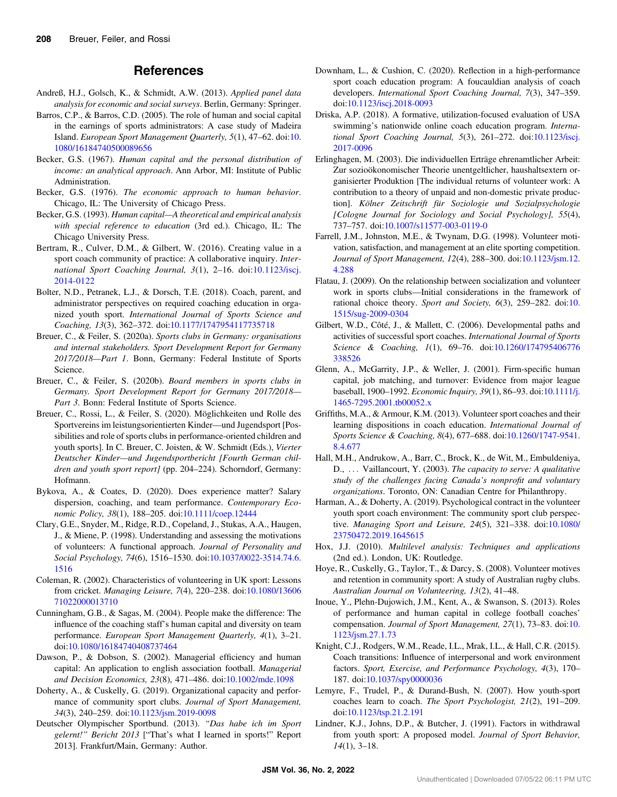## References

- <span id="page-9-0"></span>Andreß, H.J., Golsch, K., & Schmidt, A.W. (2013). Applied panel data analysis for economic and social surveys. Berlin, Germany: Springer.
- Barros, C.P., & Barros, C.D. (2005). The role of human and social capital in the earnings of sports administrators: A case study of Madeira Island. European Sport Management Quarterly, 5(1), 47–62. doi:[10.](https://doi.org/10.1080/16184740500089656) [1080/16184740500089656](https://doi.org/10.1080/16184740500089656)
- Becker, G.S. (1967). Human capital and the personal distribution of income: an analytical approach. Ann Arbor, MI: Institute of Public Administration.
- Becker, G.S. (1976). The economic approach to human behavior. Chicago, IL: The University of Chicago Press.
- Becker, G.S. (1993). Human capital—A theoretical and empirical analysis with special reference to education (3rd ed.). Chicago, IL: The Chicago University Press.
- Bertram, R., Culver, D.M., & Gilbert, W. (2016). Creating value in a sport coach community of practice: A collaborative inquiry. International Sport Coaching Journal, 3(1), 2–16. doi[:10.1123/iscj.](https://doi.org/10.1123/iscj.2014-0122) [2014-0122](https://doi.org/10.1123/iscj.2014-0122)
- Bolter, N.D., Petranek, L.J., & Dorsch, T.E. (2018). Coach, parent, and administrator perspectives on required coaching education in organized youth sport. International Journal of Sports Science and Coaching, 13(3), 362–372. doi[:10.1177/1747954117735718](https://doi.org/10.1177/1747954117735718)
- Breuer, C., & Feiler, S. (2020a). Sports clubs in Germany: organisations and internal stakeholders. Sport Development Report for Germany 2017/2018—Part 1. Bonn, Germany: Federal Institute of Sports Science.
- Breuer, C., & Feiler, S. (2020b). Board members in sports clubs in Germany. Sport Development Report for Germany 2017/2018— Part 3. Bonn: Federal Institute of Sports Science.
- Breuer, C., Rossi, L., & Feiler, S. (2020). Möglichkeiten und Rolle des Sportvereins im leistungsorientierten Kinder—und Jugendsport [Possibilities and role of sports clubs in performance-oriented children and youth sports]. In C. Breuer, C. Joisten, & W. Schmidt (Eds.), Vierter Deutscher Kinder—und Jugendsportbericht [Fourth German children and youth sport report] (pp. 204–224). Schorndorf, Germany: Hofmann.
- Bykova, A., & Coates, D. (2020). Does experience matter? Salary dispersion, coaching, and team performance. Contemporary Economic Policy, 38(1), 188–205. doi:[10.1111/coep.12444](https://doi.org/10.1111/coep.12444)
- Clary, G.E., Snyder, M., Ridge, R.D., Copeland, J., Stukas, A.A., Haugen, J., & Miene, P. (1998). Understanding and assessing the motivations of volunteers: A functional approach. Journal of Personality and Social Psychology, 74(6), 1516–1530. doi[:10.1037/0022-3514.74.6.](https://doi.org/10.1037/0022-3514.74.6.1516) [1516](https://doi.org/10.1037/0022-3514.74.6.1516)
- Coleman, R. (2002). Characteristics of volunteering in UK sport: Lessons from cricket. Managing Leisure, 7(4), 220–238. doi:[10.1080/13606](https://doi.org/10.1080/1360671022000013710) [71022000013710](https://doi.org/10.1080/1360671022000013710)
- Cunningham, G.B., & Sagas, M. (2004). People make the difference: The influence of the coaching staff's human capital and diversity on team performance. European Sport Management Quarterly, 4(1), 3-21. doi:[10.1080/16184740408737464](https://doi.org/10.1080/16184740408737464)
- Dawson, P., & Dobson, S. (2002). Managerial efficiency and human capital: An application to english association football. Managerial and Decision Economics, 23(8), 471–486. doi[:10.1002/mde.1098](https://doi.org/10.1002/mde.1098)
- Doherty, A., & Cuskelly, G. (2019). Organizational capacity and performance of community sport clubs. Journal of Sport Management, 34(3), 240–259. doi[:10.1123/jsm.2019-0098](https://doi.org/10.1123/jsm.2019-0098)
- Deutscher Olympischer Sportbund. (2013). "Das habe ich im Sport gelernt!" Bericht 2013 ["That's what I learned in sports!" Report 2013]. Frankfurt/Main, Germany: Author.
- Downham, L., & Cushion, C. (2020). Reflection in a high-performance sport coach education program: A foucauldian analysis of coach developers. International Sport Coaching Journal, 7(3), 347–359. doi:[10.1123/iscj.2018-0093](https://doi.org/10.1123/iscj.2018-0093)
- Driska, A.P. (2018). A formative, utilization-focused evaluation of USA swimming's nationwide online coach education program. International Sport Coaching Journal, 5(3), 261–272. doi:[10.1123/iscj.](https://doi.org/10.1123/iscj.2017-0096) [2017-0096](https://doi.org/10.1123/iscj.2017-0096)
- Erlinghagen, M. (2003). Die individuellen Erträge ehrenamtlicher Arbeit: Zur sozioökonomischer Theorie unentgeltlicher, haushaltsextern organisierter Produktion [The individual returns of volunteer work: A contribution to a theory of unpaid and non-domestic private production]. Kölner Zeitschrift für Soziologie und Sozialpsychologie [Cologne Journal for Sociology and Social Psychology], 55(4), 737–757. doi[:10.1007/s11577-003-0119-0](https://doi.org/10.1007/s11577-003-0119-0)
- Farrell, J.M., Johnston, M.E., & Twynam, D.G. (1998). Volunteer motivation, satisfaction, and management at an elite sporting competition. Journal of Sport Management, 12(4), 288–300. doi[:10.1123/jsm.12.](https://doi.org/10.1123/jsm.12.4.288) [4.288](https://doi.org/10.1123/jsm.12.4.288)
- Flatau, J. (2009). On the relationship between socialization and volunteer work in sports clubs—Initial considerations in the framework of rational choice theory. Sport and Society, 6(3), 259–282. doi:[10.](https://doi.org/10.1515/sug-2009-0304) [1515/sug-2009-0304](https://doi.org/10.1515/sug-2009-0304)
- Gilbert, W.D., Côté, J., & Mallett, C. (2006). Developmental paths and activities of successful sport coaches. International Journal of Sports Science & Coaching, 1(1), 69–76. doi[:10.1260/174795406776](https://doi.org/10.1260/174795406776338526) [338526](https://doi.org/10.1260/174795406776338526)
- Glenn, A., McGarrity, J.P., & Weller, J. (2001). Firm-specific human capital, job matching, and turnover: Evidence from major league baseball, 1900–1992. Economic Inquiry, 39(1), 86–93. doi:[10.1111/j.](https://doi.org/10.1111/j.1465-7295.2001.tb00052.x) [1465-7295.2001.tb00052.x](https://doi.org/10.1111/j.1465-7295.2001.tb00052.x)
- Griffiths, M.A., & Armour, K.M. (2013). Volunteer sport coaches and their learning dispositions in coach education. International Journal of Sports Science & Coaching, 8(4), 677–688. doi[:10.1260/1747-9541.](https://doi.org/10.1260/1747-9541.8.4.677) [8.4.677](https://doi.org/10.1260/1747-9541.8.4.677)
- Hall, M.H., Andrukow, A., Barr, C., Brock, K., de Wit, M., Embuldeniya, D., ... Vaillancourt, Y. (2003). The capacity to serve: A qualitative study of the challenges facing Canada's nonprofit and voluntary organizations. Toronto, ON: Canadian Centre for Philanthropy.
- Harman, A., & Doherty, A. (2019). Psychological contract in the volunteer youth sport coach environment: The community sport club perspective. Managing Sport and Leisure, 24(5), 321–338. doi[:10.1080/](https://doi.org/10.1080/23750472.2019.1645615) [23750472.2019.1645615](https://doi.org/10.1080/23750472.2019.1645615)
- Hox, J.J. (2010). Multilevel analysis: Techniques and applications (2nd ed.). London, UK: Routledge.
- Hoye, R., Cuskelly, G., Taylor, T., & Darcy, S. (2008). Volunteer motives and retention in community sport: A study of Australian rugby clubs. Australian Journal on Volunteering, 13(2), 41–48.
- Inoue, Y., Plehn-Dujowich, J.M., Kent, A., & Swanson, S. (2013). Roles of performance and human capital in college football coaches' compensation. Journal of Sport Management, 27(1), 73–83. doi:[10.](https://doi.org/10.1123/jsm.27.1.73) [1123/jsm.27.1.73](https://doi.org/10.1123/jsm.27.1.73)
- Knight, C.J., Rodgers, W.M., Reade, I.L., Mrak, I.L., & Hall, C.R. (2015). Coach transitions: Influence of interpersonal and work environment factors. Sport, Exercise, and Performance Psychology, 4(3), 170– 187. doi:[10.1037/spy0000036](https://doi.org/10.1037/spy0000036)
- Lemyre, F., Trudel, P., & Durand-Bush, N. (2007). How youth-sport coaches learn to coach. The Sport Psychologist, 21(2), 191–209. doi:[10.1123/tsp.21.2.191](https://doi.org/10.1123/tsp.21.2.191)
- Lindner, K.J., Johns, D.P., & Butcher, J. (1991). Factors in withdrawal from youth sport: A proposed model. Journal of Sport Behavior,  $14(1)$ , 3-18.